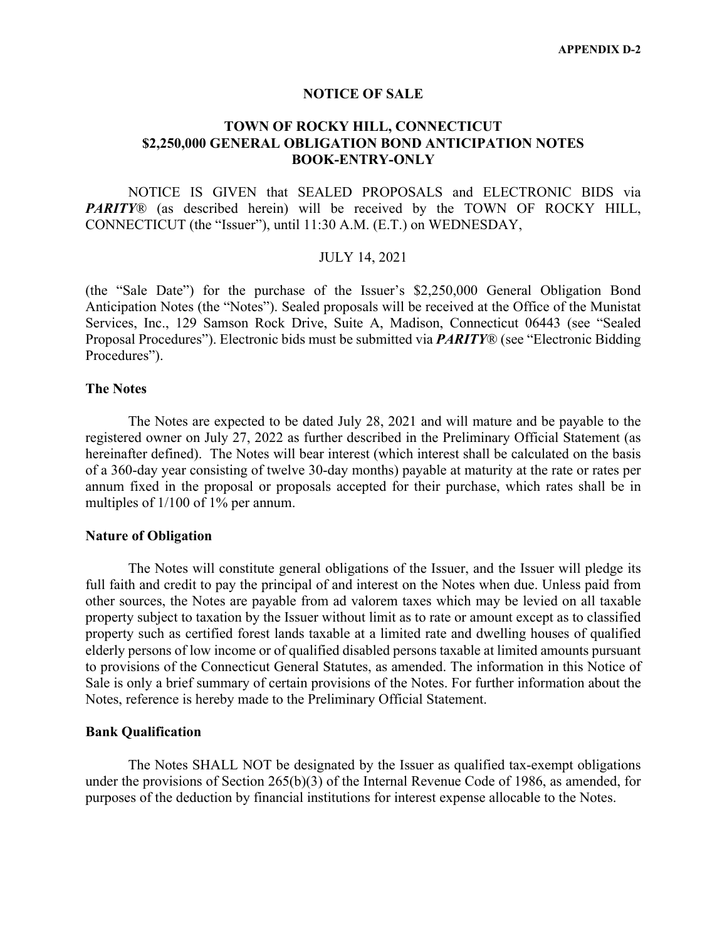#### **NOTICE OF SALE**

### **TOWN OF ROCKY HILL, CONNECTICUT \$2,250,000 GENERAL OBLIGATION BOND ANTICIPATION NOTES BOOK-ENTRY-ONLY**

NOTICE IS GIVEN that SEALED PROPOSALS and ELECTRONIC BIDS via *PARITY*® (as described herein) will be received by the TOWN OF ROCKY HILL, CONNECTICUT (the "Issuer"), until 11:30 A.M. (E.T.) on WEDNESDAY,

#### JULY 14, 2021

(the "Sale Date") for the purchase of the Issuer's \$2,250,000 General Obligation Bond Anticipation Notes (the "Notes"). Sealed proposals will be received at the Office of the Munistat Services, Inc., 129 Samson Rock Drive, Suite A, Madison, Connecticut 06443 (see "Sealed Proposal Procedures"). Electronic bids must be submitted via *PARITY*® (see "Electronic Bidding Procedures").

#### **The Notes**

The Notes are expected to be dated July 28, 2021 and will mature and be payable to the registered owner on July 27, 2022 as further described in the Preliminary Official Statement (as hereinafter defined). The Notes will bear interest (which interest shall be calculated on the basis of a 360-day year consisting of twelve 30-day months) payable at maturity at the rate or rates per annum fixed in the proposal or proposals accepted for their purchase, which rates shall be in multiples of 1/100 of 1% per annum.

#### **Nature of Obligation**

The Notes will constitute general obligations of the Issuer, and the Issuer will pledge its full faith and credit to pay the principal of and interest on the Notes when due. Unless paid from other sources, the Notes are payable from ad valorem taxes which may be levied on all taxable property subject to taxation by the Issuer without limit as to rate or amount except as to classified property such as certified forest lands taxable at a limited rate and dwelling houses of qualified elderly persons of low income or of qualified disabled persons taxable at limited amounts pursuant to provisions of the Connecticut General Statutes, as amended. The information in this Notice of Sale is only a brief summary of certain provisions of the Notes. For further information about the Notes, reference is hereby made to the Preliminary Official Statement.

#### **Bank Qualification**

The Notes SHALL NOT be designated by the Issuer as qualified tax-exempt obligations under the provisions of Section 265(b)(3) of the Internal Revenue Code of 1986, as amended, for purposes of the deduction by financial institutions for interest expense allocable to the Notes.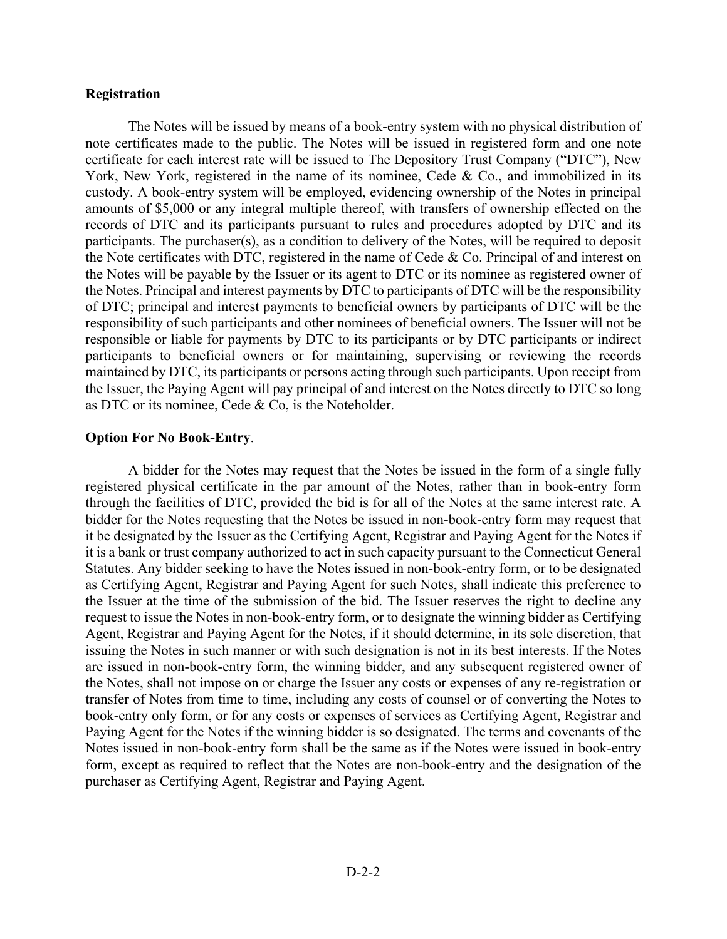#### **Registration**

The Notes will be issued by means of a book-entry system with no physical distribution of note certificates made to the public. The Notes will be issued in registered form and one note certificate for each interest rate will be issued to The Depository Trust Company ("DTC"), New York, New York, registered in the name of its nominee, Cede & Co., and immobilized in its custody. A book-entry system will be employed, evidencing ownership of the Notes in principal amounts of \$5,000 or any integral multiple thereof, with transfers of ownership effected on the records of DTC and its participants pursuant to rules and procedures adopted by DTC and its participants. The purchaser(s), as a condition to delivery of the Notes, will be required to deposit the Note certificates with DTC, registered in the name of Cede & Co. Principal of and interest on the Notes will be payable by the Issuer or its agent to DTC or its nominee as registered owner of the Notes. Principal and interest payments by DTC to participants of DTC will be the responsibility of DTC; principal and interest payments to beneficial owners by participants of DTC will be the responsibility of such participants and other nominees of beneficial owners. The Issuer will not be responsible or liable for payments by DTC to its participants or by DTC participants or indirect participants to beneficial owners or for maintaining, supervising or reviewing the records maintained by DTC, its participants or persons acting through such participants. Upon receipt from the Issuer, the Paying Agent will pay principal of and interest on the Notes directly to DTC so long as DTC or its nominee, Cede & Co, is the Noteholder.

## **Option For No Book-Entry**.

A bidder for the Notes may request that the Notes be issued in the form of a single fully registered physical certificate in the par amount of the Notes, rather than in book-entry form through the facilities of DTC, provided the bid is for all of the Notes at the same interest rate. A bidder for the Notes requesting that the Notes be issued in non-book-entry form may request that it be designated by the Issuer as the Certifying Agent, Registrar and Paying Agent for the Notes if it is a bank or trust company authorized to act in such capacity pursuant to the Connecticut General Statutes. Any bidder seeking to have the Notes issued in non-book-entry form, or to be designated as Certifying Agent, Registrar and Paying Agent for such Notes, shall indicate this preference to the Issuer at the time of the submission of the bid. The Issuer reserves the right to decline any request to issue the Notes in non-book-entry form, or to designate the winning bidder as Certifying Agent, Registrar and Paying Agent for the Notes, if it should determine, in its sole discretion, that issuing the Notes in such manner or with such designation is not in its best interests. If the Notes are issued in non-book-entry form, the winning bidder, and any subsequent registered owner of the Notes, shall not impose on or charge the Issuer any costs or expenses of any re-registration or transfer of Notes from time to time, including any costs of counsel or of converting the Notes to book-entry only form, or for any costs or expenses of services as Certifying Agent, Registrar and Paying Agent for the Notes if the winning bidder is so designated. The terms and covenants of the Notes issued in non-book-entry form shall be the same as if the Notes were issued in book-entry form, except as required to reflect that the Notes are non-book-entry and the designation of the purchaser as Certifying Agent, Registrar and Paying Agent.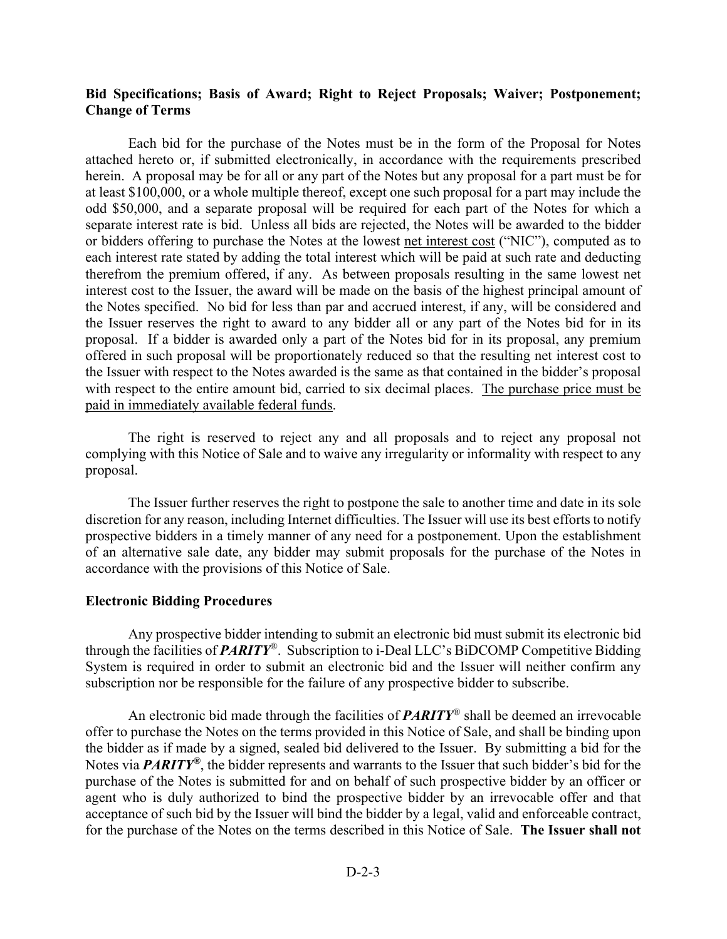## **Bid Specifications; Basis of Award; Right to Reject Proposals; Waiver; Postponement; Change of Terms**

Each bid for the purchase of the Notes must be in the form of the Proposal for Notes attached hereto or, if submitted electronically, in accordance with the requirements prescribed herein. A proposal may be for all or any part of the Notes but any proposal for a part must be for at least \$100,000, or a whole multiple thereof, except one such proposal for a part may include the odd \$50,000, and a separate proposal will be required for each part of the Notes for which a separate interest rate is bid. Unless all bids are rejected, the Notes will be awarded to the bidder or bidders offering to purchase the Notes at the lowest net interest cost ("NIC"), computed as to each interest rate stated by adding the total interest which will be paid at such rate and deducting therefrom the premium offered, if any. As between proposals resulting in the same lowest net interest cost to the Issuer, the award will be made on the basis of the highest principal amount of the Notes specified. No bid for less than par and accrued interest, if any, will be considered and the Issuer reserves the right to award to any bidder all or any part of the Notes bid for in its proposal. If a bidder is awarded only a part of the Notes bid for in its proposal, any premium offered in such proposal will be proportionately reduced so that the resulting net interest cost to the Issuer with respect to the Notes awarded is the same as that contained in the bidder's proposal with respect to the entire amount bid, carried to six decimal places. The purchase price must be paid in immediately available federal funds.

The right is reserved to reject any and all proposals and to reject any proposal not complying with this Notice of Sale and to waive any irregularity or informality with respect to any proposal.

The Issuer further reserves the right to postpone the sale to another time and date in its sole discretion for any reason, including Internet difficulties. The Issuer will use its best efforts to notify prospective bidders in a timely manner of any need for a postponement. Upon the establishment of an alternative sale date, any bidder may submit proposals for the purchase of the Notes in accordance with the provisions of this Notice of Sale.

#### **Electronic Bidding Procedures**

Any prospective bidder intending to submit an electronic bid must submit its electronic bid through the facilities of *PARITY*®. Subscription to i-Deal LLC's BiDCOMP Competitive Bidding System is required in order to submit an electronic bid and the Issuer will neither confirm any subscription nor be responsible for the failure of any prospective bidder to subscribe.

An electronic bid made through the facilities of *PARITY*® shall be deemed an irrevocable offer to purchase the Notes on the terms provided in this Notice of Sale, and shall be binding upon the bidder as if made by a signed, sealed bid delivered to the Issuer. By submitting a bid for the Notes via *PARITY®*, the bidder represents and warrants to the Issuer that such bidder's bid for the purchase of the Notes is submitted for and on behalf of such prospective bidder by an officer or agent who is duly authorized to bind the prospective bidder by an irrevocable offer and that acceptance of such bid by the Issuer will bind the bidder by a legal, valid and enforceable contract, for the purchase of the Notes on the terms described in this Notice of Sale. **The Issuer shall not**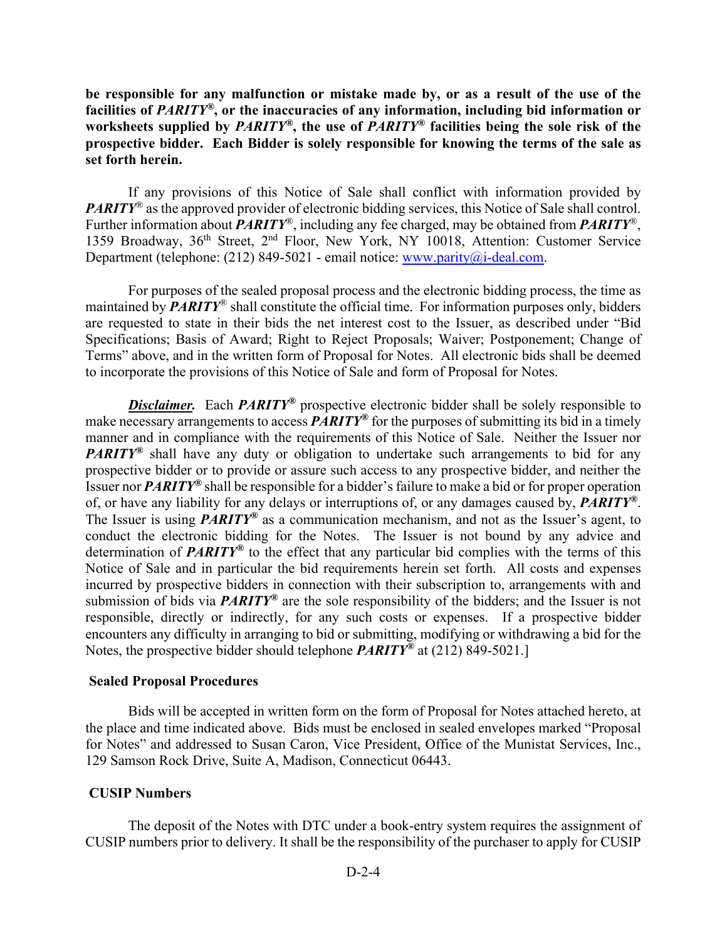**be responsible for any malfunction or mistake made by, or as a result of the use of the facilities of** *PARITY®***, or the inaccuracies of any information, including bid information or worksheets supplied by** *PARITY®***, the use of** *PARITY®* **facilities being the sole risk of the prospective bidder. Each Bidder is solely responsible for knowing the terms of the sale as set forth herein.** 

If any provisions of this Notice of Sale shall conflict with information provided by *PARITY*<sup>®</sup> as the approved provider of electronic bidding services, this Notice of Sale shall control. Further information about *PARITY*®, including any fee charged, may be obtained from *PARITY*®, 1359 Broadway, 36<sup>th</sup> Street, 2<sup>nd</sup> Floor, New York, NY 10018, Attention: Customer Service Department (telephone: (212) 849-5021 - email notice: www.parity@i-deal.com.

For purposes of the sealed proposal process and the electronic bidding process, the time as maintained by *PARITY*® shall constitute the official time. For information purposes only, bidders are requested to state in their bids the net interest cost to the Issuer, as described under "Bid Specifications; Basis of Award; Right to Reject Proposals; Waiver; Postponement; Change of Terms" above, and in the written form of Proposal for Notes. All electronic bids shall be deemed to incorporate the provisions of this Notice of Sale and form of Proposal for Notes.

**Disclaimer.** Each **PARITY<sup>®</sup>** prospective electronic bidder shall be solely responsible to make necessary arrangements to access *PARITY®* for the purposes of submitting its bid in a timely manner and in compliance with the requirements of this Notice of Sale. Neither the Issuer nor *PARITY<sup>®</sup>* shall have any duty or obligation to undertake such arrangements to bid for any prospective bidder or to provide or assure such access to any prospective bidder, and neither the Issuer nor *PARITY®* shall be responsible for a bidder's failure to make a bid or for proper operation of, or have any liability for any delays or interruptions of, or any damages caused by, *PARITY®*. The Issuer is using *PARITY®* as a communication mechanism, and not as the Issuer's agent, to conduct the electronic bidding for the Notes. The Issuer is not bound by any advice and determination of *PARITY®* to the effect that any particular bid complies with the terms of this Notice of Sale and in particular the bid requirements herein set forth. All costs and expenses incurred by prospective bidders in connection with their subscription to, arrangements with and submission of bids via *PARITY®* are the sole responsibility of the bidders; and the Issuer is not responsible, directly or indirectly, for any such costs or expenses. If a prospective bidder encounters any difficulty in arranging to bid or submitting, modifying or withdrawing a bid for the Notes, the prospective bidder should telephone *PARITY®* at (212) 849-5021.]

#### **Sealed Proposal Procedures**

Bids will be accepted in written form on the form of Proposal for Notes attached hereto, at the place and time indicated above. Bids must be enclosed in sealed envelopes marked "Proposal for Notes" and addressed to Susan Caron, Vice President, Office of the Munistat Services, Inc., 129 Samson Rock Drive, Suite A, Madison, Connecticut 06443.

## **CUSIP Numbers**

The deposit of the Notes with DTC under a book-entry system requires the assignment of CUSIP numbers prior to delivery. It shall be the responsibility of the purchaser to apply for CUSIP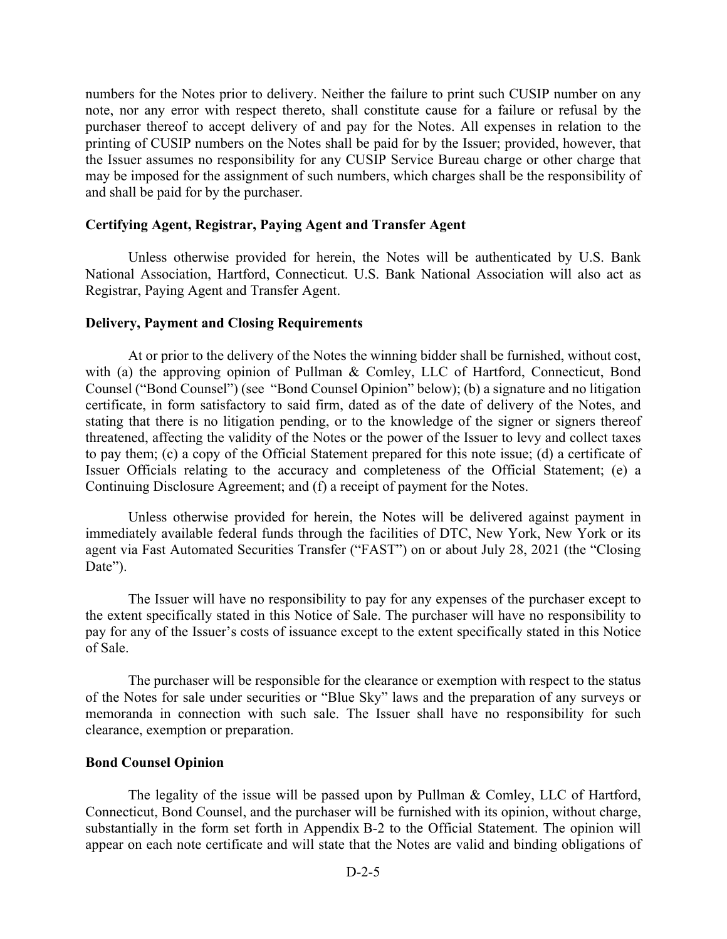numbers for the Notes prior to delivery. Neither the failure to print such CUSIP number on any note, nor any error with respect thereto, shall constitute cause for a failure or refusal by the purchaser thereof to accept delivery of and pay for the Notes. All expenses in relation to the printing of CUSIP numbers on the Notes shall be paid for by the Issuer; provided, however, that the Issuer assumes no responsibility for any CUSIP Service Bureau charge or other charge that may be imposed for the assignment of such numbers, which charges shall be the responsibility of and shall be paid for by the purchaser.

### **Certifying Agent, Registrar, Paying Agent and Transfer Agent**

Unless otherwise provided for herein, the Notes will be authenticated by U.S. Bank National Association, Hartford, Connecticut. U.S. Bank National Association will also act as Registrar, Paying Agent and Transfer Agent.

### **Delivery, Payment and Closing Requirements**

At or prior to the delivery of the Notes the winning bidder shall be furnished, without cost, with (a) the approving opinion of Pullman & Comley, LLC of Hartford, Connecticut, Bond Counsel ("Bond Counsel") (see "Bond Counsel Opinion" below); (b) a signature and no litigation certificate, in form satisfactory to said firm, dated as of the date of delivery of the Notes, and stating that there is no litigation pending, or to the knowledge of the signer or signers thereof threatened, affecting the validity of the Notes or the power of the Issuer to levy and collect taxes to pay them; (c) a copy of the Official Statement prepared for this note issue; (d) a certificate of Issuer Officials relating to the accuracy and completeness of the Official Statement; (e) a Continuing Disclosure Agreement; and (f) a receipt of payment for the Notes.

Unless otherwise provided for herein, the Notes will be delivered against payment in immediately available federal funds through the facilities of DTC, New York, New York or its agent via Fast Automated Securities Transfer ("FAST") on or about July 28, 2021 (the "Closing Date").

The Issuer will have no responsibility to pay for any expenses of the purchaser except to the extent specifically stated in this Notice of Sale. The purchaser will have no responsibility to pay for any of the Issuer's costs of issuance except to the extent specifically stated in this Notice of Sale.

The purchaser will be responsible for the clearance or exemption with respect to the status of the Notes for sale under securities or "Blue Sky" laws and the preparation of any surveys or memoranda in connection with such sale. The Issuer shall have no responsibility for such clearance, exemption or preparation.

## **Bond Counsel Opinion**

The legality of the issue will be passed upon by Pullman & Comley, LLC of Hartford, Connecticut, Bond Counsel, and the purchaser will be furnished with its opinion, without charge, substantially in the form set forth in Appendix B-2 to the Official Statement. The opinion will appear on each note certificate and will state that the Notes are valid and binding obligations of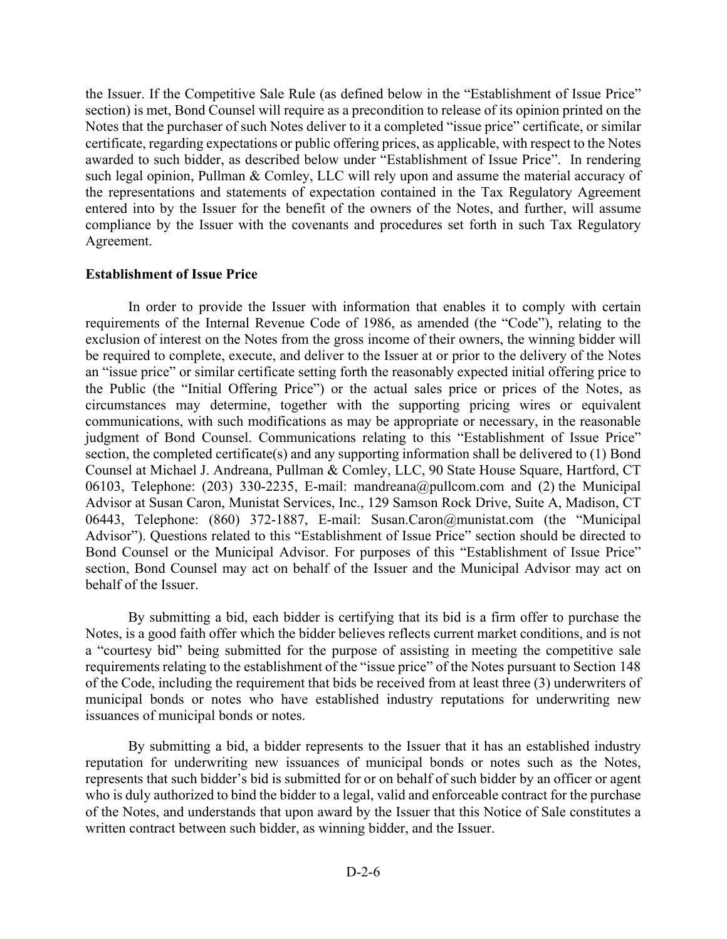the Issuer. If the Competitive Sale Rule (as defined below in the "Establishment of Issue Price" section) is met, Bond Counsel will require as a precondition to release of its opinion printed on the Notes that the purchaser of such Notes deliver to it a completed "issue price" certificate, or similar certificate, regarding expectations or public offering prices, as applicable, with respect to the Notes awarded to such bidder, as described below under "Establishment of Issue Price". In rendering such legal opinion, Pullman & Comley, LLC will rely upon and assume the material accuracy of the representations and statements of expectation contained in the Tax Regulatory Agreement entered into by the Issuer for the benefit of the owners of the Notes, and further, will assume compliance by the Issuer with the covenants and procedures set forth in such Tax Regulatory Agreement.

## **Establishment of Issue Price**

In order to provide the Issuer with information that enables it to comply with certain requirements of the Internal Revenue Code of 1986, as amended (the "Code"), relating to the exclusion of interest on the Notes from the gross income of their owners, the winning bidder will be required to complete, execute, and deliver to the Issuer at or prior to the delivery of the Notes an "issue price" or similar certificate setting forth the reasonably expected initial offering price to the Public (the "Initial Offering Price") or the actual sales price or prices of the Notes, as circumstances may determine, together with the supporting pricing wires or equivalent communications, with such modifications as may be appropriate or necessary, in the reasonable judgment of Bond Counsel. Communications relating to this "Establishment of Issue Price" section, the completed certificate(s) and any supporting information shall be delivered to (1) Bond Counsel at Michael J. Andreana, Pullman & Comley, LLC, 90 State House Square, Hartford, CT 06103, Telephone: (203) 330-2235, E-mail: mandreana@pullcom.com and (2) the Municipal Advisor at Susan Caron, Munistat Services, Inc., 129 Samson Rock Drive, Suite A, Madison, CT 06443, Telephone: (860) 372-1887, E-mail: Susan.Caron@munistat.com (the "Municipal Advisor"). Questions related to this "Establishment of Issue Price" section should be directed to Bond Counsel or the Municipal Advisor. For purposes of this "Establishment of Issue Price" section, Bond Counsel may act on behalf of the Issuer and the Municipal Advisor may act on behalf of the Issuer.

By submitting a bid, each bidder is certifying that its bid is a firm offer to purchase the Notes, is a good faith offer which the bidder believes reflects current market conditions, and is not a "courtesy bid" being submitted for the purpose of assisting in meeting the competitive sale requirements relating to the establishment of the "issue price" of the Notes pursuant to Section 148 of the Code, including the requirement that bids be received from at least three (3) underwriters of municipal bonds or notes who have established industry reputations for underwriting new issuances of municipal bonds or notes.

By submitting a bid, a bidder represents to the Issuer that it has an established industry reputation for underwriting new issuances of municipal bonds or notes such as the Notes, represents that such bidder's bid is submitted for or on behalf of such bidder by an officer or agent who is duly authorized to bind the bidder to a legal, valid and enforceable contract for the purchase of the Notes, and understands that upon award by the Issuer that this Notice of Sale constitutes a written contract between such bidder, as winning bidder, and the Issuer.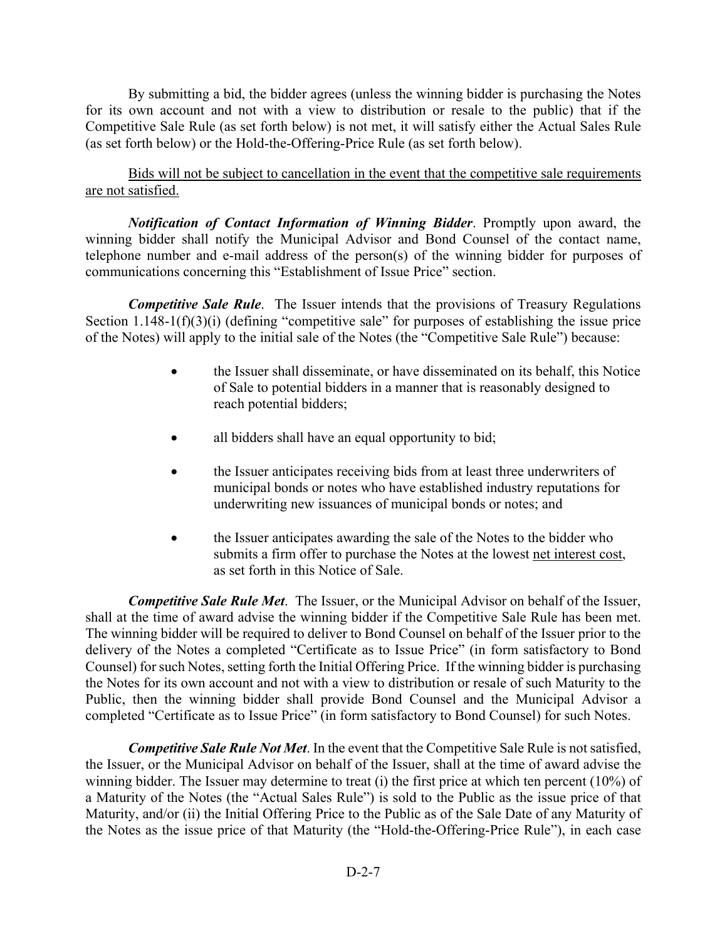By submitting a bid, the bidder agrees (unless the winning bidder is purchasing the Notes for its own account and not with a view to distribution or resale to the public) that if the Competitive Sale Rule (as set forth below) is not met, it will satisfy either the Actual Sales Rule (as set forth below) or the Hold-the-Offering-Price Rule (as set forth below).

Bids will not be subject to cancellation in the event that the competitive sale requirements are not satisfied.

*Notification of Contact Information of Winning Bidder*. Promptly upon award, the winning bidder shall notify the Municipal Advisor and Bond Counsel of the contact name, telephone number and e-mail address of the person(s) of the winning bidder for purposes of communications concerning this "Establishment of Issue Price" section.

*Competitive Sale Rule*. The Issuer intends that the provisions of Treasury Regulations Section 1.148-1(f)(3)(i) (defining "competitive sale" for purposes of establishing the issue price of the Notes) will apply to the initial sale of the Notes (the "Competitive Sale Rule") because:

- the Issuer shall disseminate, or have disseminated on its behalf, this Notice of Sale to potential bidders in a manner that is reasonably designed to reach potential bidders;
- all bidders shall have an equal opportunity to bid;
- the Issuer anticipates receiving bids from at least three underwriters of municipal bonds or notes who have established industry reputations for underwriting new issuances of municipal bonds or notes; and
- the Issuer anticipates awarding the sale of the Notes to the bidder who submits a firm offer to purchase the Notes at the lowest net interest cost, as set forth in this Notice of Sale.

*Competitive Sale Rule Met*. The Issuer, or the Municipal Advisor on behalf of the Issuer, shall at the time of award advise the winning bidder if the Competitive Sale Rule has been met. The winning bidder will be required to deliver to Bond Counsel on behalf of the Issuer prior to the delivery of the Notes a completed "Certificate as to Issue Price" (in form satisfactory to Bond Counsel) for such Notes, setting forth the Initial Offering Price. If the winning bidder is purchasing the Notes for its own account and not with a view to distribution or resale of such Maturity to the Public, then the winning bidder shall provide Bond Counsel and the Municipal Advisor a completed "Certificate as to Issue Price" (in form satisfactory to Bond Counsel) for such Notes.

*Competitive Sale Rule Not Met*. In the event that the Competitive Sale Rule is not satisfied, the Issuer, or the Municipal Advisor on behalf of the Issuer, shall at the time of award advise the winning bidder. The Issuer may determine to treat (i) the first price at which ten percent (10%) of a Maturity of the Notes (the "Actual Sales Rule") is sold to the Public as the issue price of that Maturity, and/or (ii) the Initial Offering Price to the Public as of the Sale Date of any Maturity of the Notes as the issue price of that Maturity (the "Hold-the-Offering-Price Rule"), in each case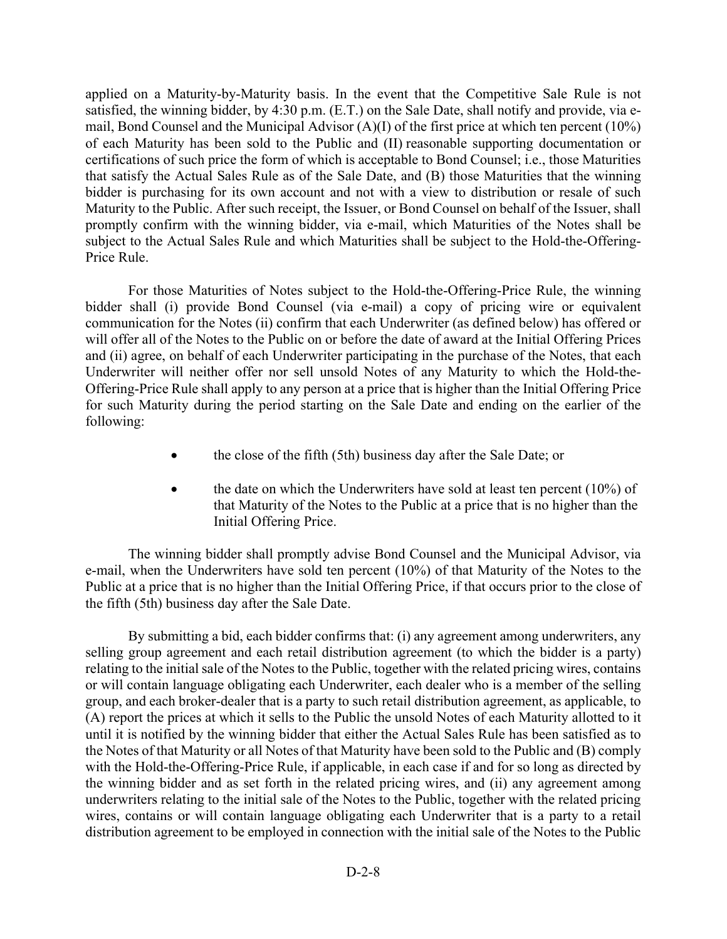applied on a Maturity-by-Maturity basis. In the event that the Competitive Sale Rule is not satisfied, the winning bidder, by 4:30 p.m. (E.T.) on the Sale Date, shall notify and provide, via email, Bond Counsel and the Municipal Advisor (A)(I) of the first price at which ten percent (10%) of each Maturity has been sold to the Public and (II) reasonable supporting documentation or certifications of such price the form of which is acceptable to Bond Counsel; i.e., those Maturities that satisfy the Actual Sales Rule as of the Sale Date, and (B) those Maturities that the winning bidder is purchasing for its own account and not with a view to distribution or resale of such Maturity to the Public. After such receipt, the Issuer, or Bond Counsel on behalf of the Issuer, shall promptly confirm with the winning bidder, via e-mail, which Maturities of the Notes shall be subject to the Actual Sales Rule and which Maturities shall be subject to the Hold-the-Offering-Price Rule.

For those Maturities of Notes subject to the Hold-the-Offering-Price Rule, the winning bidder shall (i) provide Bond Counsel (via e-mail) a copy of pricing wire or equivalent communication for the Notes (ii) confirm that each Underwriter (as defined below) has offered or will offer all of the Notes to the Public on or before the date of award at the Initial Offering Prices and (ii) agree, on behalf of each Underwriter participating in the purchase of the Notes, that each Underwriter will neither offer nor sell unsold Notes of any Maturity to which the Hold-the-Offering-Price Rule shall apply to any person at a price that is higher than the Initial Offering Price for such Maturity during the period starting on the Sale Date and ending on the earlier of the following:

- the close of the fifth (5th) business day after the Sale Date; or
- the date on which the Underwriters have sold at least ten percent (10%) of that Maturity of the Notes to the Public at a price that is no higher than the Initial Offering Price.

The winning bidder shall promptly advise Bond Counsel and the Municipal Advisor, via e-mail, when the Underwriters have sold ten percent (10%) of that Maturity of the Notes to the Public at a price that is no higher than the Initial Offering Price, if that occurs prior to the close of the fifth (5th) business day after the Sale Date.

By submitting a bid, each bidder confirms that: (i) any agreement among underwriters, any selling group agreement and each retail distribution agreement (to which the bidder is a party) relating to the initial sale of the Notes to the Public, together with the related pricing wires, contains or will contain language obligating each Underwriter, each dealer who is a member of the selling group, and each broker-dealer that is a party to such retail distribution agreement, as applicable, to (A) report the prices at which it sells to the Public the unsold Notes of each Maturity allotted to it until it is notified by the winning bidder that either the Actual Sales Rule has been satisfied as to the Notes of that Maturity or all Notes of that Maturity have been sold to the Public and (B) comply with the Hold-the-Offering-Price Rule, if applicable, in each case if and for so long as directed by the winning bidder and as set forth in the related pricing wires, and (ii) any agreement among underwriters relating to the initial sale of the Notes to the Public, together with the related pricing wires, contains or will contain language obligating each Underwriter that is a party to a retail distribution agreement to be employed in connection with the initial sale of the Notes to the Public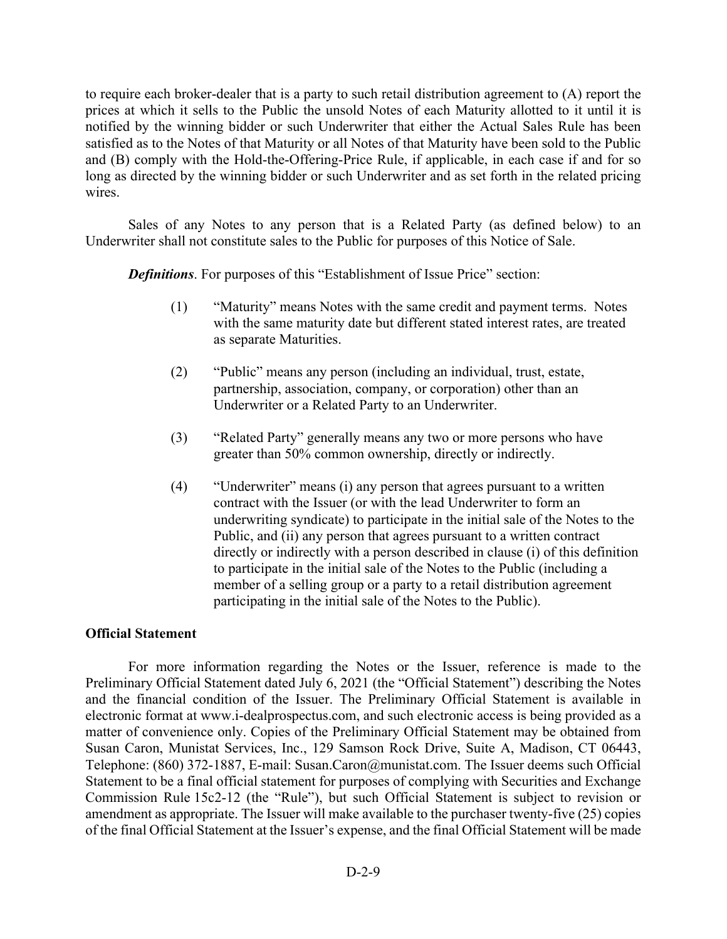to require each broker-dealer that is a party to such retail distribution agreement to (A) report the prices at which it sells to the Public the unsold Notes of each Maturity allotted to it until it is notified by the winning bidder or such Underwriter that either the Actual Sales Rule has been satisfied as to the Notes of that Maturity or all Notes of that Maturity have been sold to the Public and (B) comply with the Hold-the-Offering-Price Rule, if applicable, in each case if and for so long as directed by the winning bidder or such Underwriter and as set forth in the related pricing wires.

Sales of any Notes to any person that is a Related Party (as defined below) to an Underwriter shall not constitute sales to the Public for purposes of this Notice of Sale.

*Definitions*. For purposes of this "Establishment of Issue Price" section:

- (1) "Maturity" means Notes with the same credit and payment terms. Notes with the same maturity date but different stated interest rates, are treated as separate Maturities.
- (2) "Public" means any person (including an individual, trust, estate, partnership, association, company, or corporation) other than an Underwriter or a Related Party to an Underwriter.
- (3) "Related Party" generally means any two or more persons who have greater than 50% common ownership, directly or indirectly.
- (4) "Underwriter" means (i) any person that agrees pursuant to a written contract with the Issuer (or with the lead Underwriter to form an underwriting syndicate) to participate in the initial sale of the Notes to the Public, and (ii) any person that agrees pursuant to a written contract directly or indirectly with a person described in clause (i) of this definition to participate in the initial sale of the Notes to the Public (including a member of a selling group or a party to a retail distribution agreement participating in the initial sale of the Notes to the Public).

## **Official Statement**

For more information regarding the Notes or the Issuer, reference is made to the Preliminary Official Statement dated July 6, 2021 (the "Official Statement") describing the Notes and the financial condition of the Issuer. The Preliminary Official Statement is available in electronic format at www.i-dealprospectus.com, and such electronic access is being provided as a matter of convenience only. Copies of the Preliminary Official Statement may be obtained from Susan Caron, Munistat Services, Inc., 129 Samson Rock Drive, Suite A, Madison, CT 06443, Telephone: (860) 372-1887, E-mail: Susan.Caron@munistat.com. The Issuer deems such Official Statement to be a final official statement for purposes of complying with Securities and Exchange Commission Rule 15c2-12 (the "Rule"), but such Official Statement is subject to revision or amendment as appropriate. The Issuer will make available to the purchaser twenty-five (25) copies of the final Official Statement at the Issuer's expense, and the final Official Statement will be made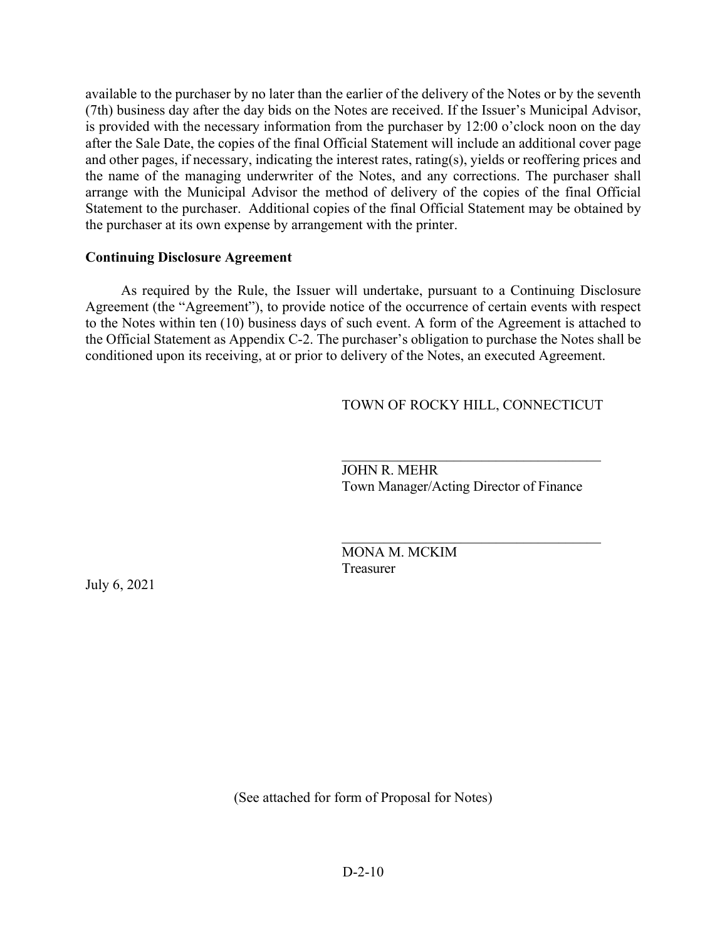available to the purchaser by no later than the earlier of the delivery of the Notes or by the seventh (7th) business day after the day bids on the Notes are received. If the Issuer's Municipal Advisor, is provided with the necessary information from the purchaser by 12:00 o'clock noon on the day after the Sale Date, the copies of the final Official Statement will include an additional cover page and other pages, if necessary, indicating the interest rates, rating(s), yields or reoffering prices and the name of the managing underwriter of the Notes, and any corrections. The purchaser shall arrange with the Municipal Advisor the method of delivery of the copies of the final Official Statement to the purchaser. Additional copies of the final Official Statement may be obtained by the purchaser at its own expense by arrangement with the printer.

## **Continuing Disclosure Agreement**

 As required by the Rule, the Issuer will undertake, pursuant to a Continuing Disclosure Agreement (the "Agreement"), to provide notice of the occurrence of certain events with respect to the Notes within ten (10) business days of such event. A form of the Agreement is attached to the Official Statement as Appendix C-2. The purchaser's obligation to purchase the Notes shall be conditioned upon its receiving, at or prior to delivery of the Notes, an executed Agreement.

# TOWN OF ROCKY HILL, CONNECTICUT

 JOHN R. MEHR Town Manager/Acting Director of Finance

 MONA M. MCKIM Treasurer

July 6, 2021

(See attached for form of Proposal for Notes)